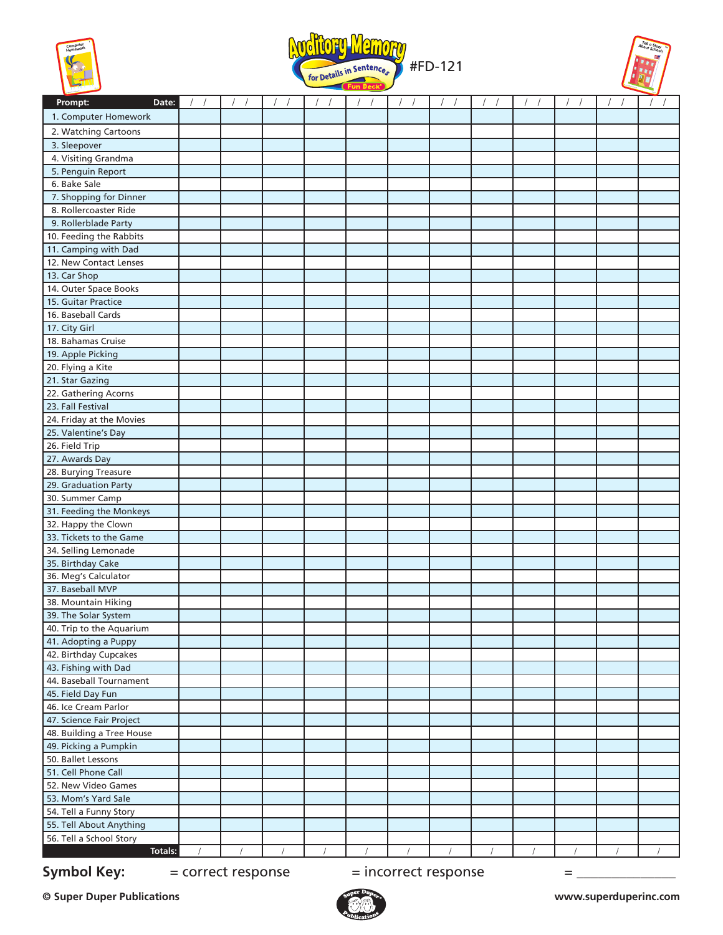





| Prompt:<br>Date:                            |  |  | $\sqrt{2}$ |  | $\sqrt{ }$ | $\sqrt{ }$ | $\sqrt{2}$ |
|---------------------------------------------|--|--|------------|--|------------|------------|------------|
| 1. Computer Homework                        |  |  |            |  |            |            |            |
| 2. Watching Cartoons                        |  |  |            |  |            |            |            |
| 3. Sleepover                                |  |  |            |  |            |            |            |
| 4. Visiting Grandma                         |  |  |            |  |            |            |            |
| 5. Penguin Report                           |  |  |            |  |            |            |            |
| 6. Bake Sale                                |  |  |            |  |            |            |            |
| 7. Shopping for Dinner                      |  |  |            |  |            |            |            |
| 8. Rollercoaster Ride                       |  |  |            |  |            |            |            |
| 9. Rollerblade Party                        |  |  |            |  |            |            |            |
| 10. Feeding the Rabbits                     |  |  |            |  |            |            |            |
| 11. Camping with Dad                        |  |  |            |  |            |            |            |
| 12. New Contact Lenses                      |  |  |            |  |            |            |            |
| 13. Car Shop                                |  |  |            |  |            |            |            |
| 14. Outer Space Books                       |  |  |            |  |            |            |            |
| 15. Guitar Practice                         |  |  |            |  |            |            |            |
| 16. Baseball Cards                          |  |  |            |  |            |            |            |
| 17. City Girl                               |  |  |            |  |            |            |            |
| 18. Bahamas Cruise                          |  |  |            |  |            |            |            |
| 19. Apple Picking                           |  |  |            |  |            |            |            |
| 20. Flying a Kite                           |  |  |            |  |            |            |            |
| 21. Star Gazing                             |  |  |            |  |            |            |            |
| 22. Gathering Acorns                        |  |  |            |  |            |            |            |
| 23. Fall Festival                           |  |  |            |  |            |            |            |
| 24. Friday at the Movies                    |  |  |            |  |            |            |            |
| 25. Valentine's Day                         |  |  |            |  |            |            |            |
| 26. Field Trip                              |  |  |            |  |            |            |            |
| 27. Awards Day<br>28. Burying Treasure      |  |  |            |  |            |            |            |
| 29. Graduation Party                        |  |  |            |  |            |            |            |
| 30. Summer Camp                             |  |  |            |  |            |            |            |
| 31. Feeding the Monkeys                     |  |  |            |  |            |            |            |
| 32. Happy the Clown                         |  |  |            |  |            |            |            |
| 33. Tickets to the Game                     |  |  |            |  |            |            |            |
| 34. Selling Lemonade                        |  |  |            |  |            |            |            |
| 35. Birthday Cake                           |  |  |            |  |            |            |            |
| 36. Meg's Calculator                        |  |  |            |  |            |            |            |
| 37. Baseball MVP                            |  |  |            |  |            |            |            |
| 38. Mountain Hiking                         |  |  |            |  |            |            |            |
| 39. The Solar System                        |  |  |            |  |            |            |            |
| 40. Trip to the Aquarium                    |  |  |            |  |            |            |            |
| 41. Adopting a Puppy                        |  |  |            |  |            |            |            |
| 42. Birthday Cupcakes                       |  |  |            |  |            |            |            |
| 43. Fishing with Dad                        |  |  |            |  |            |            |            |
| 44. Baseball Tournament                     |  |  |            |  |            |            |            |
| 45. Field Day Fun                           |  |  |            |  |            |            |            |
| 46. Ice Cream Parlor                        |  |  |            |  |            |            |            |
| 47. Science Fair Project                    |  |  |            |  |            |            |            |
| 48. Building a Tree House                   |  |  |            |  |            |            |            |
| 49. Picking a Pumpkin<br>50. Ballet Lessons |  |  |            |  |            |            |            |
| 51. Cell Phone Call                         |  |  |            |  |            |            |            |
| 52. New Video Games                         |  |  |            |  |            |            |            |
| 53. Mom's Yard Sale                         |  |  |            |  |            |            |            |
| 54. Tell a Funny Story                      |  |  |            |  |            |            |            |
| 55. Tell About Anything                     |  |  |            |  |            |            |            |
| 56. Tell a School Story                     |  |  |            |  |            |            |            |
| Totals:                                     |  |  |            |  |            |            |            |

**Symbol Key:**  $=$  correct response  $=$  incorrect response  $=$